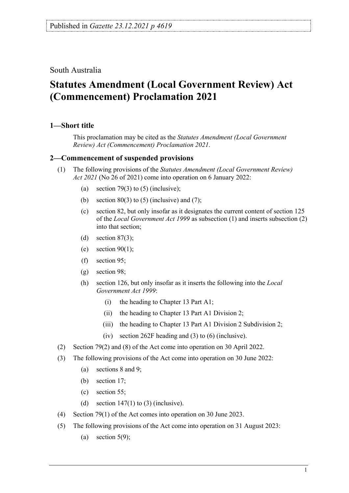South Australia

## **Statutes Amendment (Local Government Review) Act (Commencement) Proclamation 2021**

## **1—Short title**

This proclamation may be cited as the *Statutes Amendment (Local Government Review) Act (Commencement) Proclamation 2021*.

## **2—Commencement of suspended provisions**

- (1) The following provisions of the *[Statutes Amendment \(Local Government Review\)](http://www.legislation.sa.gov.au/index.aspx?action=legref&type=act&legtitle=Statutes%20Amendment%20(Local%20Government%20Review)%20Act%202021)  Act [2021](http://www.legislation.sa.gov.au/index.aspx?action=legref&type=act&legtitle=Statutes%20Amendment%20(Local%20Government%20Review)%20Act%202021)* (No 26 of 2021) come into operation on 6 January 2022:
	- (a) section 79(3) to (5) (inclusive);
	- (b) section  $80(3)$  to (5) (inclusive) and (7);
	- (c) section 82, but only insofar as it designates the current content of section 125 of the *[Local Government Act](http://www.legislation.sa.gov.au/index.aspx?action=legref&type=act&legtitle=Local%20Government%20Act%201999) 1999* as subsection (1) and inserts subsection (2) into that section;
	- (d) section  $87(3)$ ;
	- (e) section  $90(1)$ ;
	- (f) section 95;
	- (g) section 98;
	- (h) section 126, but only insofar as it inserts the following into the *[Local](http://www.legislation.sa.gov.au/index.aspx?action=legref&type=act&legtitle=Local%20Government%20Act%201999)  [Government Act](http://www.legislation.sa.gov.au/index.aspx?action=legref&type=act&legtitle=Local%20Government%20Act%201999) 1999*:
		- (i) the heading to Chapter 13 Part A1;
		- (ii) the heading to Chapter 13 Part A1 Division 2;
		- (iii) the heading to Chapter 13 Part A1 Division 2 Subdivision 2;
		- (iv) section 262F heading and (3) to (6) (inclusive).
- (2) Section 79(2) and (8) of the Act come into operation on 30 April 2022.
- (3) The following provisions of the Act come into operation on 30 June 2022:
	- (a) sections 8 and 9;
	- (b) section 17;
	- (c) section 55;
	- (d) section  $147(1)$  to (3) (inclusive).
- (4) Section 79(1) of the Act comes into operation on 30 June 2023.
- (5) The following provisions of the Act come into operation on 31 August 2023:
	- (a) section  $5(9)$ ;